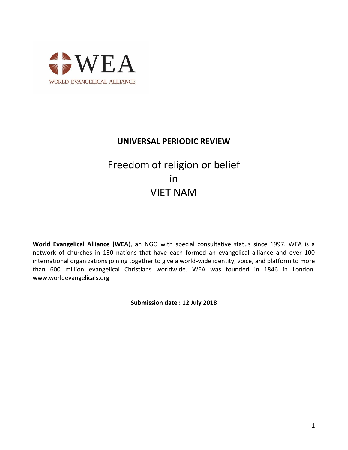

# **UNIVERSAL PERIODIC REVIEW**

# Freedom of religion or belief in VIET NAM

**World Evangelical Alliance (WEA**), an NGO with special consultative status since 1997. WEA is a network of churches in 130 nations that have each formed an evangelical alliance and over 100 international organizations joining together to give a world-wide identity, voice, and platform to more than 600 million evangelical Christians worldwide. WEA was founded in 1846 in London. www.worldevangelicals.org

**Submission date : 12 July 2018**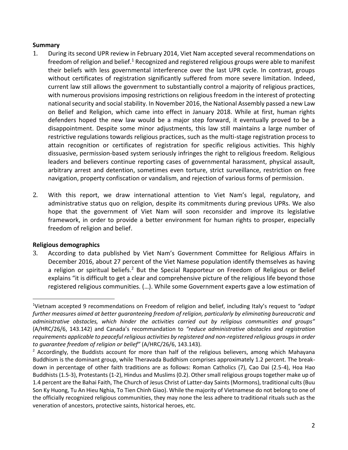#### **Summary**

- 1. During its second UPR review in February 2014, Viet Nam accepted several recommendations on freedom of religion and belief.<sup>1</sup> Recognized and registered religious groups were able to manifest their beliefs with less governmental interference over the last UPR cycle. In contrast, groups without certificates of registration significantly suffered from more severe limitation. Indeed, current law still allows the government to substantially control a majority of religious practices, with numerous provisions imposing restrictions on religious freedom in the interest of protecting national security and social stability. In November 2016, the National Assembly passed a new Law on Belief and Religion, which came into effect in January 2018. While at first, human rights defenders hoped the new law would be a major step forward, it eventually proved to be a disappointment. Despite some minor adjustments, this law still maintains a large number of restrictive regulations towards religious practices, such as the multi-stage registration process to attain recognition or certificates of registration for specific religious activities. This highly dissuasive, permission-based system seriously infringes the right to religious freedom. Religious leaders and believers continue reporting cases of governmental harassment, physical assault, arbitrary arrest and detention, sometimes even torture, strict surveillance, restriction on free navigation, property confiscation or vandalism, and rejection of various forms of permission.
- 2. With this report, we draw international attention to Viet Nam's legal, regulatory, and administrative status quo on religion, despite its commitments during previous UPRs. We also hope that the government of Viet Nam will soon reconsider and improve its legislative framework, in order to provide a better environment for human rights to prosper, especially freedom of religion and belief.

# **Religious demographics**

 $\overline{a}$ 

3. According to data published by Viet Nam's Government Committee for Religious Affairs in December 2016, about 27 percent of the Viet Namese population identify themselves as having a religion or spiritual beliefs.<sup>2</sup> But the Special Rapporteur on Freedom of Religious or Belief explains "it is difficult to get a clear and comprehensive picture of the religious life beyond those registered religious communities. (…). While some Government experts gave a low estimation of

<sup>1</sup>Vietnam accepted 9 recommendations on Freedom of religion and belief, including Italy's request to *"adopt*  further measures aimed at better guaranteeing freedom of religion, particularly by eliminating bureaucratic and *administrative obstacles, which hinder the activities carried out by religious communities and groups"* (A/HRC/26/6, 143.142) and Canada's recommandation to *"reduce administrative obstacles and registration requirements applicable to peaceful religious activities by registered and non-registered religious groups in order to guarantee freedom of religion or belief"* (A/HRC/26/6, 143.143).

 $<sup>2</sup>$  Accordingly, the Buddists account for more than half of the religious believers, among which Mahayana</sup> Buddhism is the dominant group, while Theravada Buddhism comprises approximately 1.2 percent. The breakdown in percentage of other faith traditions are as follows: Roman Catholics (7), Cao Dai (2.5-4), Hoa Hao Buddhists (1.5-3), Protestants (1-2), Hindus and Muslims (0.2). Other small religious groups together make up of 1.4 percent are the Bahai Faith, The Church of Jesus Christ of Latter-day Saints (Mormons), traditional cults (Buu Son Ky Huong, Tu An Hieu Nghia, To Tien Chinh Giao). While the majority of Vietnamese do not belong to one of the officially recognized religious communities, they may none the less adhere to traditional rituals such as the veneration of ancestors, protective saints, historical heroes, etc.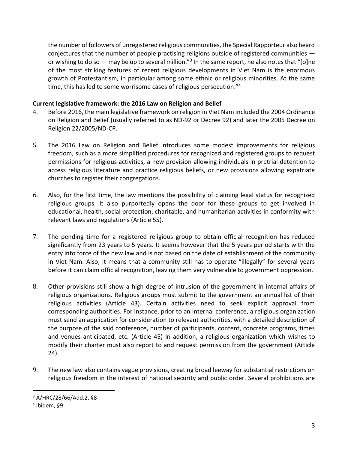the number of followers of unregistered religious communities, the Special Rapporteur also heard conjectures that the number of people practising religions outside of registered communities or wishing to do so  $-$  may be up to several million."<sup>3</sup> In the same report, he also notes that "[o]ne of the most striking features of recent religious developments in Viet Nam is the enormous growth of Protestantism, in particular among some ethnic or religious minorities. At the same time, this has led to some worrisome cases of religious persecution."<sup>4</sup>

## **Current legislative framework: the 2016 Law on Religion and Belief**

- 4. Before 2016, the main legislative framework on religion in Viet Nam included the 2004 Ordinance on Religion and Belief (usually referred to as ND-92 or Decree 92) and later the 2005 Decree on Religion 22/2005/ND-CP.
- 5. The 2016 Law on Religion and Belief introduces some modest improvements for religious freedom, such as a more simplified procedures for recognized and registered groups to request permissions for religious activities, a new provision allowing individuals in pretrial detention to access religious literature and practice religious beliefs, or new provisions allowing expatriate churches to register their congregations.
- 6. Also, for the first time, the law mentions the possibility of claiming legal status for recognized religious groups. It also purportedly opens the door for these groups to get involved in educational, health, social protection, charitable, and humanitarian activities in conformity with relevant laws and regulations (Article 55).
- 7. The pending time for a registered religious group to obtain official recognition has reduced significantly from 23 years to 5 years. It seems however that the 5 years period starts with the entry into force of the new law and is not based on the date of establishment of the community in Viet Nam. Also, it means that a community still has to operate "illegally" for several years before it can claim official recognition, leaving them very vulnerable to government oppression.
- 8. Other provisions still show a high degree of intrusion of the government in internal affairs of religious organizations. Religious groups must submit to the government an annual list of their religious activities (Article 43). Certain activities need to seek explicit approval from corresponding authorities. For instance, prior to an internal conference, a religious organization must send an application for consideration to relevant authorities, with a detailed description of the purpose of the said conference, number of participants, content, concrete programs, times and venues anticipated, etc. (Article 45) In addition, a religious organization which wishes to modify their charter must also report to and request permission from the government (Article 24).
- 9. The new law also contains vague provisions, creating broad leeway for substantial restrictions on religious freedom in the interest of national security and public order. Several prohibitions are

 $\overline{a}$ 

<sup>3</sup> A/HRC/28/66/Add.2, §8

<sup>4</sup> Ibidem, §9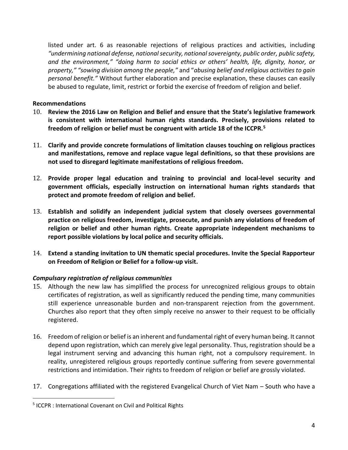listed under art. 6 as reasonable rejections of religious practices and activities, including *"undermining national defense, national security, national sovereignty, public order, public safety, and the environment," "doing harm to social ethics or others' health, life, dignity, honor, or property," "sowing division among the people,"* and "*abusing belief and religious activities to gain personal benefit."* Without further elaboration and precise explanation, these clauses can easily be abused to regulate, limit, restrict or forbid the exercise of freedom of religion and belief.

#### **Recommendations**

- 10. **Review the 2016 Law on Religion and Belief and ensure that the State's legislative framework is consistent with international human rights standards. Precisely, provisions related to freedom of religion or belief must be congruent with article 18 of the ICCPR.<sup>5</sup>**
- 11. **Clarify and provide concrete formulations of limitation clauses touching on religious practices and manifestations, remove and replace vague legal definitions, so that these provisions are not used to disregard legitimate manifestations of religious freedom.**
- 12. **Provide proper legal education and training to provincial and local-level security and government officials, especially instruction on international human rights standards that protect and promote freedom of religion and belief.**
- 13. **Establish and solidify an independent judicial system that closely oversees governmental practice on religious freedom, investigate, prosecute, and punish any violations of freedom of religion or belief and other human rights. Create appropriate independent mechanisms to report possible violations by local police and security officials.**
- 14. **Extend a standing invitation to UN thematic special procedures. Invite the Special Rapporteur on Freedom of Religion or Belief for a follow-up visit.**

# *Compulsary registration of religious communities*

- 15. Although the new law has simplified the process for unrecognized religious groups to obtain certificates of registration, as well as significantly reduced the pending time, many communities still experience unreasonable burden and non-transparent rejection from the government. Churches also report that they often simply receive no answer to their request to be officially registered.
- 16. Freedom of religion or belief is an inherent and fundamental right of every human being. It cannot depend upon registration, which can merely give legal personality. Thus, registration should be a legal instrument serving and advancing this human right, not a compulsory requirement. In reality, unregistered religious groups reportedly continue suffering from severe governmental restrictions and intimidation. Their rights to freedom of religion or belief are grossly violated.
- 17. Congregations affiliated with the registered Evangelical Church of Viet Nam South who have a

 $\overline{a}$ 

<sup>&</sup>lt;sup>5</sup> ICCPR : International Covenant on Civil and Political Rights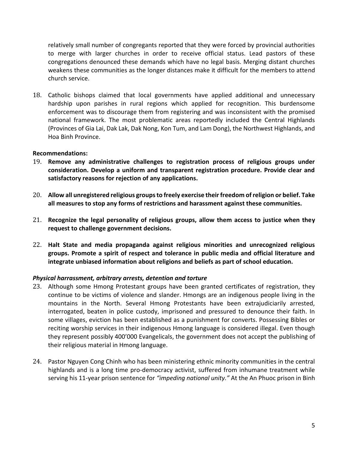relatively small number of congregants reported that they were forced by provincial authorities to merge with larger churches in order to receive official status. Lead pastors of these congregations denounced these demands which have no legal basis. Merging distant churches weakens these communities as the longer distances make it difficult for the members to attend church service.

18. Catholic bishops claimed that local governments have applied additional and unnecessary hardship upon parishes in rural regions which applied for recognition. This burdensome enforcement was to discourage them from registering and was inconsistent with the promised national framework. The most problematic areas reportedly included the Central Highlands (Provinces of Gia Lai, Dak Lak, Dak Nong, Kon Tum, and Lam Dong), the Northwest Highlands, and Hoa Binh Province.

#### **Recommendations:**

- 19. **Remove any administrative challenges to registration process of religious groups under consideration. Develop a uniform and transparent registration procedure. Provide clear and satisfactory reasons for rejection of any applications.**
- 20. **Allow all unregistered religious groups to freely exercise their freedom of religion or belief. Take all measures to stop any forms of restrictions and harassment against these communities.**
- 21. **Recognize the legal personality of religious groups, allow them access to justice when they request to challenge government decisions.**
- 22. **Halt State and media propaganda against religious minorities and unrecognized religious groups. Promote a spirit of respect and tolerance in public media and official literature and integrate unbiased information about religions and beliefs as part of school education.**

#### *Physical harrassment, arbitrary arrests, detention and torture*

- 23. Although some Hmong Protestant groups have been granted certificates of registration, they continue to be victims of violence and slander. Hmongs are an indigenous people living in the mountains in the North. Several Hmong Protestants have been extrajudiciarily arrested, interrogated, beaten in police custody, imprisoned and pressured to denounce their faith. In some villages, eviction has been established as a punishment for converts. Possessing Bibles or reciting worship services in their indigenous Hmong language is considered illegal. Even though they represent possibly 400'000 Evangelicals, the government does not accept the publishing of their religious material in Hmong language.
- 24. Pastor Nguyen Cong Chinh who has been ministering ethnic minority communities in the central highlands and is a long time pro-democracy activist, suffered from inhumane treatment while serving his 11-year prison sentence for *"impeding national unity."* At the An Phuoc prison in Binh